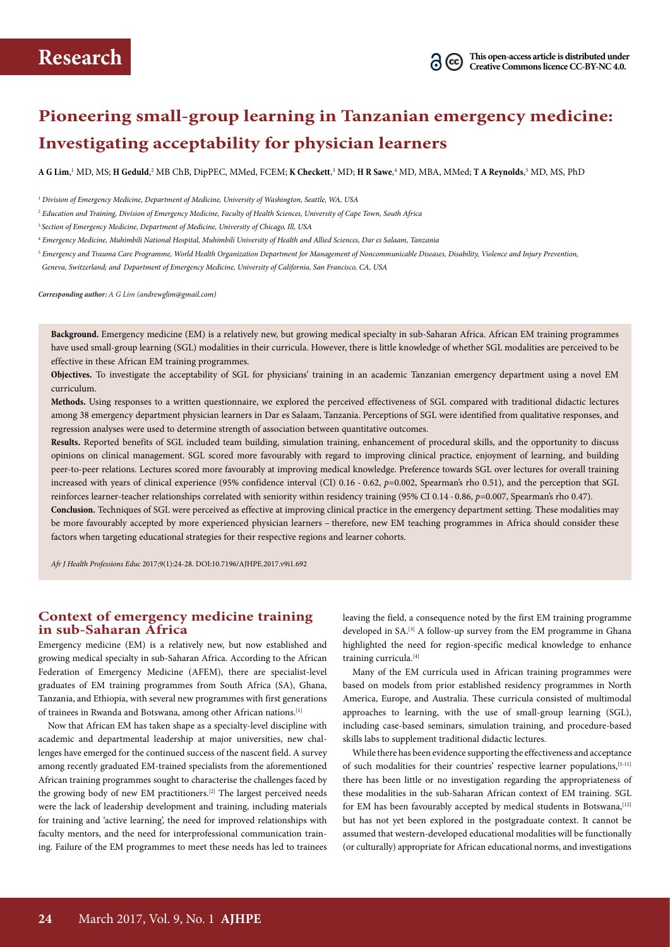

# **Pioneering small-group learning in Tanzanian emergency medicine: Investigating acceptability for physician learners**

 $\bf{A}$  **G** Lim,' MD, MS; **H** Geduld,<sup>2</sup> MB ChB, DipPEC, MMed, FCEM; **K Checkett**,<sup>3</sup> MD; **H R Sawe**,<sup>4</sup> MD, MBA, MMed; **T A Reynolds**,<sup>5</sup> MD, MS, PhD

<sup>5</sup> *Emergency and Trauma Care Programme, World Health Organization Department for Management of Noncommunicable Diseases, Disability, Violence and Injury Prevention,*

 *Geneva, Switzerland; and Department of Emergency Medicine, University of California, San Francisco, CA, USA*

*Corresponding author: A G Lim (andrewglim@gmail.com)*

**Background.** Emergency medicine (EM) is a relatively new, but growing medical specialty in sub-Saharan Africa. African EM training programmes have used small-group learning (SGL) modalities in their curricula. However, there is little knowledge of whether SGL modalities are perceived to be effective in these African EM training programmes.

**Objectives.** To investigate the acceptability of SGL for physicians' training in an academic Tanzanian emergency department using a novel EM curriculum.

**Methods.** Using responses to a written questionnaire, we explored the perceived effectiveness of SGL compared with traditional didactic lectures among 38 emergency department physician learners in Dar es Salaam, Tanzania. Perceptions of SGL were identified from qualitative responses, and regression analyses were used to determine strength of association between quantitative outcomes.

**Results.** Reported benefits of SGL included team building, simulation training, enhancement of procedural skills, and the opportunity to discuss opinions on clinical management. SGL scored more favourably with regard to improving clinical practice, enjoyment of learning, and building peer-to-peer relations. Lectures scored more favourably at improving medical knowledge. Preference towards SGL over lectures for overall training increased with years of clinical experience (95% confidence interval (CI) 0.16 - 0.62, p=0.002, Spearman's rho 0.51), and the perception that SGL reinforces learner-teacher relationships correlated with seniority within residency training (95% CI 0.14 - 0.86, *p*=0.007, Spearman's rho 0.47).

**Conclusion.** Techniques of SGL were perceived as effective at improving clinical practice in the emergency department setting. These modalities may be more favourably accepted by more experienced physician learners – therefore, new EM teaching programmes in Africa should consider these factors when targeting educational strategies for their respective regions and learner cohorts.

*Afr J Health Professions Educ* 2017;9(1):24-28. DOI:10.7196/AJHPE.2017.v9i1.692

# **Context of emergency medicine training in sub-Saharan Africa**

Emergency medicine (EM) is a relatively new, but now established and growing medical specialty in sub-Saharan Africa. According to the African Federation of Emergency Medicine (AFEM), there are specialist-level graduates of EM training programmes from South Africa (SA), Ghana, Tanzania, and Ethiopia, with several new programmes with first generations of trainees in Rwanda and Botswana, among other African nations.[1]

Now that African EM has taken shape as a specialty-level discipline with academic and departmental leadership at major universities, new challenges have emerged for the continued success of the nascent field. A survey among recently graduated EM-trained specialists from the aforementioned African training programmes sought to characterise the challenges faced by the growing body of new EM practitioners.<sup>[2]</sup> The largest perceived needs were the lack of leadership development and training, including materials for training and 'active learning', the need for improved relationships with faculty mentors, and the need for interprofessional communication training. Failure of the EM programmes to meet these needs has led to trainees

leaving the field, a consequence noted by the first EM training programme developed in SA.<sup>[3]</sup> A follow-up survey from the EM programme in Ghana highlighted the need for region-specific medical knowledge to enhance training curricula.<sup>[4]</sup>

Many of the EM curricula used in African training programmes were based on models from prior established residency programmes in North America, Europe, and Australia. These curricula consisted of multimodal approaches to learning, with the use of small-group learning (SGL), including case-based seminars, simulation training, and procedure-based skills labs to supplement traditional didactic lectures.

While there has been evidence supporting the effectiveness and acceptance of such modalities for their countries' respective learner populations,[5-11] there has been little or no investigation regarding the appropriateness of these modalities in the sub-Saharan African context of EM training. SGL for EM has been favourably accepted by medical students in Botswana, [12] but has not yet been explored in the postgraduate context. It cannot be assumed that western-developed educational modalities will be functionally (or culturally) appropriate for African educational norms, and investigations

<sup>1</sup>  *Division of Emergency Medicine, Department of Medicine, University of Washington, Seattle, WA, USA*

<sup>2</sup>  *Education and Training, Division of Emergency Medicine, Faculty of Health Sciences, University of Cape Town, South Africa* 

<sup>3</sup> *Section of Emergency Medicine, Department of Medicine, University of Chicago, Ill, USA*

<sup>4</sup> *Emergency Medicine, Muhimbili National Hospital, Muhimbili University of Health and Allied Sciences, Dar es Salaam, Tanzania*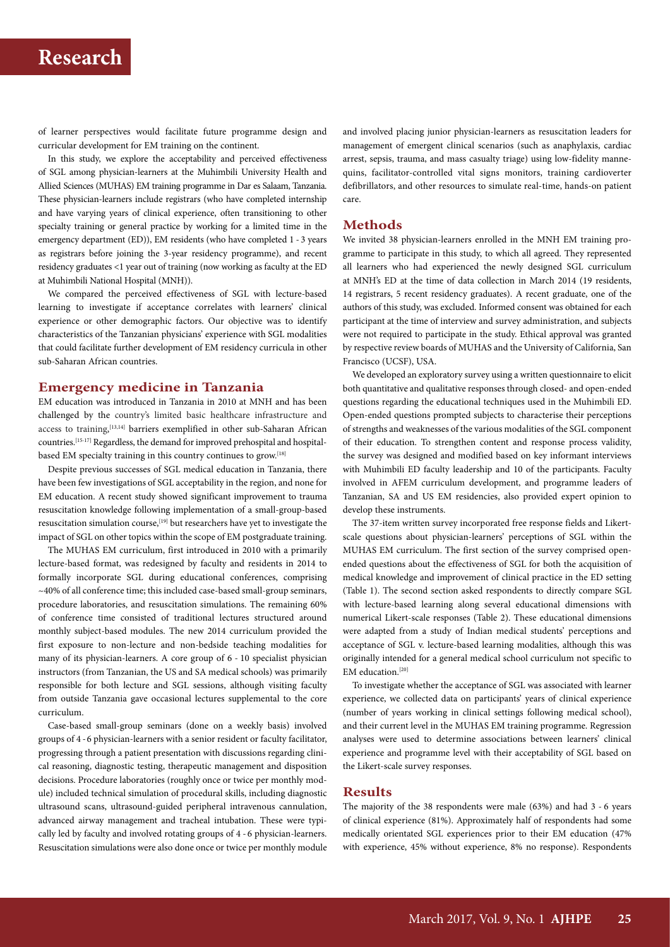# **Research**

of learner perspectives would facilitate future programme design and curricular development for EM training on the continent.

In this study, we explore the acceptability and perceived effectiveness of SGL among physician-learners at the Muhimbili University Health and Allied Sciences (MUHAS) EM training programme in Dar es Salaam, Tanzania. These physician-learners include registrars (who have completed internship and have varying years of clinical experience, often transitioning to other specialty training or general practice by working for a limited time in the emergency department (ED)), EM residents (who have completed 1 - 3 years as registrars before joining the 3-year residency programme), and recent residency graduates <1 year out of training (now working as faculty at the ED at Muhimbili National Hospital (MNH)).

We compared the perceived effectiveness of SGL with lecture-based learning to investigate if acceptance correlates with learners' clinical experience or other demographic factors. Our objective was to identify characteristics of the Tanzanian physicians' experience with SGL modalities that could facilitate further development of EM residency curricula in other sub-Saharan African countries.

#### **Emergency medicine in Tanzania**

EM education was introduced in Tanzania in 2010 at MNH and has been challenged by the country's limited basic healthcare infrastructure and access to training, [13,14] barriers exemplified in other sub-Saharan African countries.[15-17] Regardless, the demand for improved prehospital and hospitalbased EM specialty training in this country continues to grow.[18]

Despite previous successes of SGL medical education in Tanzania, there have been few investigations of SGL acceptability in the region, and none for EM education. A recent study showed significant improvement to trauma resuscitation knowledge following implementation of a small-group-based resuscitation simulation course,<sup>[19]</sup> but researchers have yet to investigate the impact of SGL on other topics within the scope of EM postgraduate training.

The MUHAS EM curriculum, first introduced in 2010 with a primarily lecture-based format, was redesigned by faculty and residents in 2014 to formally incorporate SGL during educational conferences, comprising ~40% of all conference time; this included case-based small-group seminars, procedure laboratories, and resuscitation simulations. The remaining 60% of conference time consisted of traditional lectures structured around monthly subject-based modules. The new 2014 curriculum provided the first exposure to non-lecture and non-bedside teaching modalities for many of its physician-learners. A core group of 6 - 10 specialist physician instructors (from Tanzanian, the US and SA medical schools) was primarily responsible for both lecture and SGL sessions, although visiting faculty from outside Tanzania gave occasional lectures supplemental to the core curriculum.

Case-based small-group seminars (done on a weekly basis) involved groups of 4 - 6 physician-learners with a senior resident or faculty facilitator, progressing through a patient presentation with discussions regarding clinical reasoning, diagnostic testing, therapeutic management and disposition decisions. Procedure laboratories (roughly once or twice per monthly module) included technical simulation of procedural skills, including diagnostic ultrasound scans, ultrasound-guided peripheral intravenous cannulation, advanced airway management and tracheal intubation. These were typically led by faculty and involved rotating groups of 4 - 6 physician-learners. Resuscitation simulations were also done once or twice per monthly module

and involved placing junior physician-learners as resuscitation leaders for management of emergent clinical scenarios (such as anaphylaxis, cardiac arrest, sepsis, trauma, and mass casualty triage) using low-fidelity mannequins, facilitator-controlled vital signs monitors, training cardioverter defibrillators, and other resources to simulate real-time, hands-on patient care.

## **Methods**

We invited 38 physician-learners enrolled in the MNH EM training programme to participate in this study, to which all agreed. They represented all learners who had experienced the newly designed SGL curriculum at MNH's ED at the time of data collection in March 2014 (19 residents, 14 registrars, 5 recent residency graduates). A recent graduate, one of the authors of this study, was excluded. Informed consent was obtained for each participant at the time of interview and survey administration, and subjects were not required to participate in the study. Ethical approval was granted by respective review boards of MUHAS and the University of California, San Francisco (UCSF), USA.

We developed an exploratory survey using a written questionnaire to elicit both quantitative and qualitative responses through closed- and open-ended questions regarding the educational techniques used in the Muhimbili ED. Open-ended questions prompted subjects to characterise their perceptions of strengths and weaknesses of the various modalities of the SGL component of their education. To strengthen content and response process validity, the survey was designed and modified based on key informant interviews with Muhimbili ED faculty leadership and 10 of the participants. Faculty involved in AFEM curriculum development, and programme leaders of Tanzanian, SA and US EM residencies, also provided expert opinion to develop these instruments.

The 37-item written survey incorporated free response fields and Likertscale questions about physician-learners' perceptions of SGL within the MUHAS EM curriculum. The first section of the survey comprised openended questions about the effectiveness of SGL for both the acquisition of medical knowledge and improvement of clinical practice in the ED setting (Table 1). The second section asked respondents to directly compare SGL with lecture-based learning along several educational dimensions with numerical Likert-scale responses (Table 2). These educational dimensions were adapted from a study of Indian medical students' perceptions and acceptance of SGL v. lecture-based learning modalities, although this was originally intended for a general medical school curriculum not specific to EM education.<sup>[20]</sup>

To investigate whether the acceptance of SGL was associated with learner experience, we collected data on participants' years of clinical experience (number of years working in clinical settings following medical school), and their current level in the MUHAS EM training programme. Regression analyses were used to determine associations between learners' clinical experience and programme level with their acceptability of SGL based on the Likert-scale survey responses.

### **Results**

The majority of the 38 respondents were male (63%) and had 3 - 6 years of clinical experience (81%). Approximately half of respondents had some medically orientated SGL experiences prior to their EM education (47% with experience, 45% without experience, 8% no response). Respondents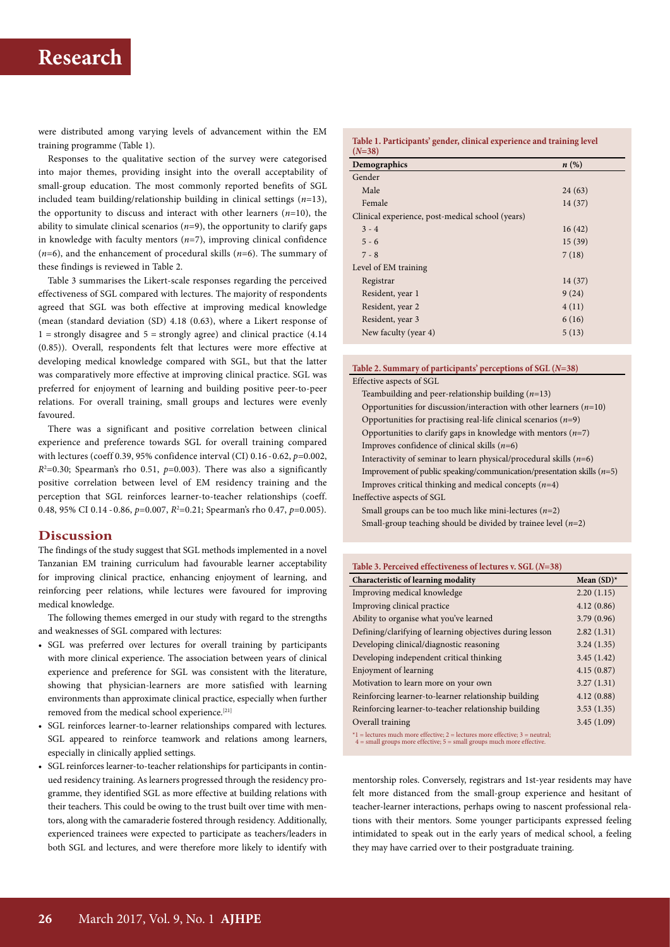were distributed among varying levels of advancement within the EM training programme (Table 1).

Responses to the qualitative section of the survey were categorised into major themes, providing insight into the overall acceptability of small-group education. The most commonly reported benefits of SGL included team building/relationship building in clinical settings (*n*=13), the opportunity to discuss and interact with other learners (*n*=10), the ability to simulate clinical scenarios  $(n=9)$ , the opportunity to clarify gaps in knowledge with faculty mentors  $(n=7)$ , improving clinical confidence (*n*=6), and the enhancement of procedural skills (*n*=6). The summary of these findings is reviewed in Table 2.

Table 3 summarises the Likert-scale responses regarding the perceived effectiveness of SGL compared with lectures. The majority of respondents agreed that SGL was both effective at improving medical knowledge (mean (standard deviation (SD) 4.18 (0.63), where a Likert response of  $1 =$  strongly disagree and  $5 =$  strongly agree) and clinical practice (4.14 (0.85)). Overall, respondents felt that lectures were more effective at developing medical knowledge compared with SGL, but that the latter was comparatively more effective at improving clinical practice. SGL was preferred for enjoyment of learning and building positive peer-to-peer relations. For overall training, small groups and lectures were evenly favoured.

There was a significant and positive correlation between clinical experience and preference towards SGL for overall training compared with lectures (coeff 0.39, 95% confidence interval (CI) 0.16 - 0.62, *p*=0.002,  $R^2$ =0.30; Spearman's rho 0.51,  $p$ =0.003). There was also a significantly positive correlation between level of EM residency training and the perception that SGL reinforces learner-to-teacher relationships (coeff. 0.48, 95% CI 0.14 - 0.86, p=0.007, R<sup>2</sup>=0.21; Spearman's rho 0.47, p=0.005).

## **Discussion**

The findings of the study suggest that SGL methods implemented in a novel Tanzanian EM training curriculum had favourable learner acceptability for improving clinical practice, enhancing enjoyment of learning, and reinforcing peer relations, while lectures were favoured for improving medical knowledge.

The following themes emerged in our study with regard to the strengths and weaknesses of SGL compared with lectures:

- SGL was preferred over lectures for overall training by participants with more clinical experience. The association between years of clinical experience and preference for SGL was consistent with the literature, showing that physician-learners are more satisfied with learning environments than approximate clinical practice, especially when further removed from the medical school experience.[21]
- SGL reinforces learner-to-learner relationships compared with lectures*.*  SGL appeared to reinforce teamwork and relations among learners, especially in clinically applied settings.
- SGL reinforces learner-to-teacher relationships for participants in continued residency training. As learners progressed through the residency programme, they identified SGL as more effective at building relations with their teachers. This could be owing to the trust built over time with mentors, along with the camaraderie fostered through residency. Additionally, experienced trainees were expected to participate as teachers/leaders in both SGL and lectures, and were therefore more likely to identify with

**Table 1. Participants' gender, clinical experience and training level (***N***=38)**

| $(11 - 30)$                                      |         |
|--------------------------------------------------|---------|
| Demographics                                     | $n(\%)$ |
| Gender                                           |         |
| Male                                             | 24(63)  |
| Female                                           | 14(37)  |
| Clinical experience, post-medical school (years) |         |
| $3 - 4$                                          | 16(42)  |
| $5 - 6$                                          | 15(39)  |
| $7 - 8$                                          | 7(18)   |
| Level of EM training                             |         |
| Registrar                                        | 14(37)  |
| Resident, year 1                                 | 9(24)   |
| Resident, year 2                                 | 4(11)   |
| Resident, year 3                                 | 6(16)   |
| New faculty (year 4)                             | 5(13)   |
|                                                  |         |

#### **Table 2. Summary of participants' perceptions of SGL (***N***=38)**

Effective aspects of SGL

Teambuilding and peer-relationship building (*n*=13) Opportunities for discussion/interaction with other learners (*n*=10) Opportunities for practising real-life clinical scenarios (*n*=9) Opportunities to clarify gaps in knowledge with mentors (*n*=7) Improves confidence of clinical skills (*n*=6) Interactivity of seminar to learn physical/procedural skills (*n*=6) Improvement of public speaking/communication/presentation skills (*n*=5) Improves critical thinking and medical concepts (*n*=4) Ineffective aspects of SGL

Small groups can be too much like mini-lectures (*n*=2) Small-group teaching should be divided by trainee level (*n*=2)

| Table 3. Perceived effectiveness of lectures v. SGL $(N=38)$                   |               |  |
|--------------------------------------------------------------------------------|---------------|--|
| Characteristic of learning modality                                            | Mean $(SD)^*$ |  |
| Improving medical knowledge                                                    | 2.20(1.15)    |  |
| Improving clinical practice                                                    | 4.12(0.86)    |  |
| Ability to organise what you've learned                                        | 3.79(0.96)    |  |
| Defining/clarifying of learning objectives during lesson                       | 2.82(1.31)    |  |
| Developing clinical/diagnostic reasoning                                       | 3.24(1.35)    |  |
| Developing independent critical thinking                                       | 3.45(1.42)    |  |
| Enjoyment of learning                                                          | 4.15(0.87)    |  |
| Motivation to learn more on your own                                           | 3.27(1.31)    |  |
| Reinforcing learner-to-learner relationship building                           | 4.12(0.88)    |  |
| Reinforcing learner-to-teacher relationship building                           | 3.53(1.35)    |  |
| Overall training                                                               | 3.45(1.09)    |  |
| $*1$ = lectures much more effective; 2 = lectures more effective; 3 = neutral; |               |  |

\*1 = lectures much more effective; 2 = lectures more effective; 3 = neutral; 4 = small groups more effective; 5 = small groups much more effective.

mentorship roles. Conversely, registrars and 1st-year residents may have felt more distanced from the small-group experience and hesitant of teacher-learner interactions, perhaps owing to nascent professional relations with their mentors. Some younger participants expressed feeling intimidated to speak out in the early years of medical school, a feeling they may have carried over to their postgraduate training.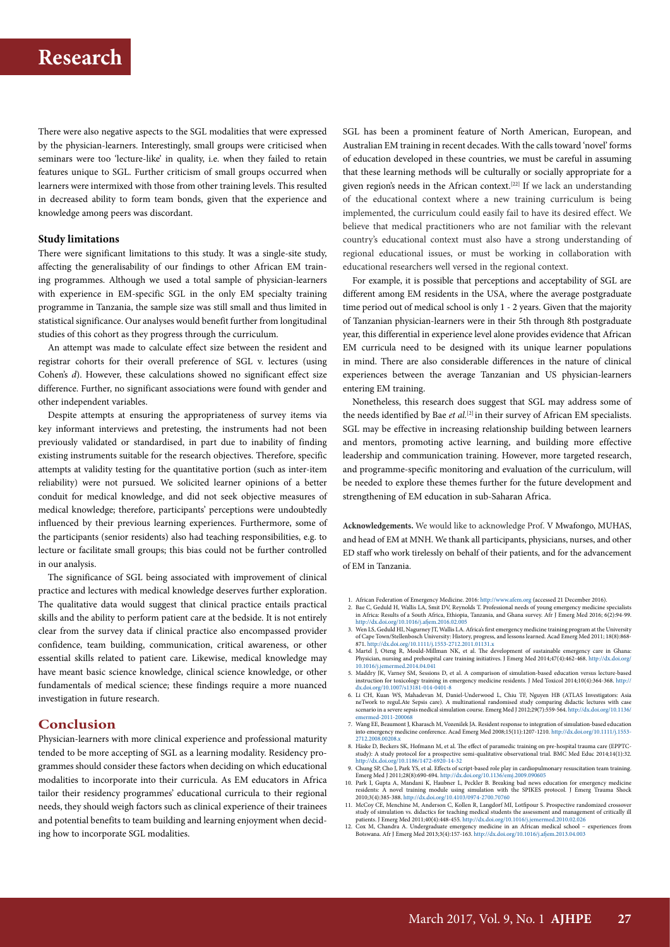There were also negative aspects to the SGL modalities that were expressed by the physician-learners. Interestingly, small groups were criticised when seminars were too 'lecture-like' in quality, i.e. when they failed to retain features unique to SGL. Further criticism of small groups occurred when learners were intermixed with those from other training levels. This resulted in decreased ability to form team bonds, given that the experience and knowledge among peers was discordant.

#### **Study limitations**

There were significant limitations to this study. It was a single-site study, affecting the generalisability of our findings to other African EM training programmes. Although we used a total sample of physician-learners with experience in EM-specific SGL in the only EM specialty training programme in Tanzania, the sample size was still small and thus limited in statistical significance. Our analyses would benefit further from longitudinal studies of this cohort as they progress through the curriculum.

An attempt was made to calculate effect size between the resident and registrar cohorts for their overall preference of SGL v. lectures (using Cohen's *d*). However, these calculations showed no significant effect size difference. Further, no significant associations were found with gender and other independent variables.

Despite attempts at ensuring the appropriateness of survey items via key informant interviews and pretesting, the instruments had not been previously validated or standardised, in part due to inability of finding existing instruments suitable for the research objectives. Therefore, specific attempts at validity testing for the quantitative portion (such as inter-item reliability) were not pursued. We solicited learner opinions of a better conduit for medical knowledge, and did not seek objective measures of medical knowledge; therefore, participants' perceptions were undoubtedly influenced by their previous learning experiences. Furthermore, some of the participants (senior residents) also had teaching responsibilities, e.g. to lecture or facilitate small groups; this bias could not be further controlled in our analysis.

The significance of SGL being associated with improvement of clinical practice and lectures with medical knowledge deserves further exploration. The qualitative data would suggest that clinical practice entails practical skills and the ability to perform patient care at the bedside. It is not entirely clear from the survey data if clinical practice also encompassed provider confidence, team building, communication, critical awareness, or other essential skills related to patient care. Likewise, medical knowledge may have meant basic science knowledge, clinical science knowledge, or other fundamentals of medical science; these findings require a more nuanced investigation in future research.

#### **Conclusion**

Physician-learners with more clinical experience and professional maturity tended to be more accepting of SGL as a learning modality. Residency programmes should consider these factors when deciding on which educational modalities to incorporate into their curricula. As EM educators in Africa tailor their residency programmes' educational curricula to their regional needs, they should weigh factors such as clinical experience of their trainees and potential benefits to team building and learning enjoyment when deciding how to incorporate SGL modalities.

SGL has been a prominent feature of North American, European, and Australian EM training in recent decades. With the calls toward 'novel' forms of education developed in these countries, we must be careful in assuming that these learning methods will be culturally or socially appropriate for a given region's needs in the African context.[22] If we lack an understanding of the educational context where a new training curriculum is being implemented, the curriculum could easily fail to have its desired effect. We believe that medical practitioners who are not familiar with the relevant country's educational context must also have a strong understanding of regional educational issues, or must be working in collaboration with educational researchers well versed in the regional context.

For example, it is possible that perceptions and acceptability of SGL are different among EM residents in the USA, where the average postgraduate time period out of medical school is only 1 - 2 years. Given that the majority of Tanzanian physician-learners were in their 5th through 8th postgraduate year, this differential in experience level alone provides evidence that African EM curricula need to be designed with its unique learner populations in mind. There are also considerable differences in the nature of clinical experiences between the average Tanzanian and US physician-learners entering EM training.

Nonetheless, this research does suggest that SGL may address some of the needs identified by Bae et al.<sup>[2]</sup> in their survey of African EM specialists. SGL may be effective in increasing relationship building between learners and mentors, promoting active learning, and building more effective leadership and communication training. However, more targeted research, and programme-specific monitoring and evaluation of the curriculum, will be needed to explore these themes further for the future development and strengthening of EM education in sub-Saharan Africa.

**Acknowledgements.** We would like to acknowledge Prof. V Mwafongo, MUHAS, and head of EM at MNH. We thank all participants, physicians, nurses, and other ED staff who work tirelessly on behalf of their patients, and for the advancement of EM in Tanzania.

- 1. African Federation of Emergency Medicine. 2016: http://www.afem.org (accessed 21 December 2016).
- 2. Bae C, Geduld H, Wallis LA, Smit DV, Reynolds T. Professional needs of young emergency medicine specialists<br>in Africa: Results of a South Africa, Ethiopia, Tanzania, and Ghana survey. Afr J Emerg Med 2016; 6(2):94-99.<br>h
- 3. Wen LS, Geduld HI, Nagurney JT, Wallis LA. Africa's first emergency medicine training program at the University of Cape Town/Stellenbosch University of Cape Town/Stellenbosch University. History, progress, and lessons
- 4. Martel J, Oteng R, Mould-Millman NK, et al. The development of sustainable emergency care in Ghana: Physician, nursing and prehospital care training initiatives. J Emerg Med 2014;47(4):462-468. http://dx.doi.org/<br> $10.1$
- 5. Maddry JK, Varney SM, Sessions D, et al. A comparison of simulation-based education versus lecture-based instruction for toxicology training in emergency medicine residents. J Med Toxicol 2014;10(4):364-368. [http://](http://dx.doi.org/10.1007/s13181-014-0401-8 ) [dx.doi.org/10.1007/s13181-014-0401-8](http://dx.doi.org/10.1007/s13181-014-0401-8 )
- 6. Li CH, Kuan WS, Mahadevan M, Daniel-Underwood L, Chiu TF, Nguyen HB (ATLAS Investigators: Asia neTwork to reguLAte Sepsis care). A multinational randomised study comparing didactic lectures with case scenario in a severe sepsis medical simulation course. Emerg Med J 2012;29(7):559-564. [http://dx.doi.org/10.1136/](http://dx.doi.org/10.1136/emermed-2011-200068 ) emermed-2011-20006
- 7. Wang EE, Beaumont J, Kharasch M, Vozenilek JA. Resident response to integration of simulation-based education into emergency medicine conference. Acad Emerg Med 2008;15(11):1207-1210. [http://dx.doi.org/10.1111/j.1553-](http://dx.doi.org/10.1111/j.1553-2712.2008.00208.x )2
- 8. Häske D, Beckers SK, Hofmann M, et al. The effect of paramedic training on pre-hospital trauma care (EPPTC-<br>study): A study protocol for a prospective semi-qualitative observational trial. BMC Med Educ 2014;14(1):32.<br>ht
- 9. Chung SP, Cho J, Park YS, et al. Effects of script-based role play in cardiopulmonary resuscitation team training.<br>Emerg Med J 2011;28(8):690-694. http://dx.doi.org/10.1136/emj.2009.090605<br>10. Park I, Gupta A, Mandani K
- residents: A novel training module using simulation with the SPIKES protocol. J Emerg Trauma Shock<br>2010;3(4):385-388.http://dx.doi.org/10.4103/0974-2700.70760<br>11. McCoy CE, Menchine M, Anderson C, Kollen R, Langdorf MI, Lo
- 
- study of simulation vs. didactics for teaching medical students the assessment and management of critically ill<br>patients. J Emerg Med 2011;40(4):448-455. http://dx.do.iorg/10.1016/j.jemermed.2010.02.026<br>Cox M, Chandra A. U